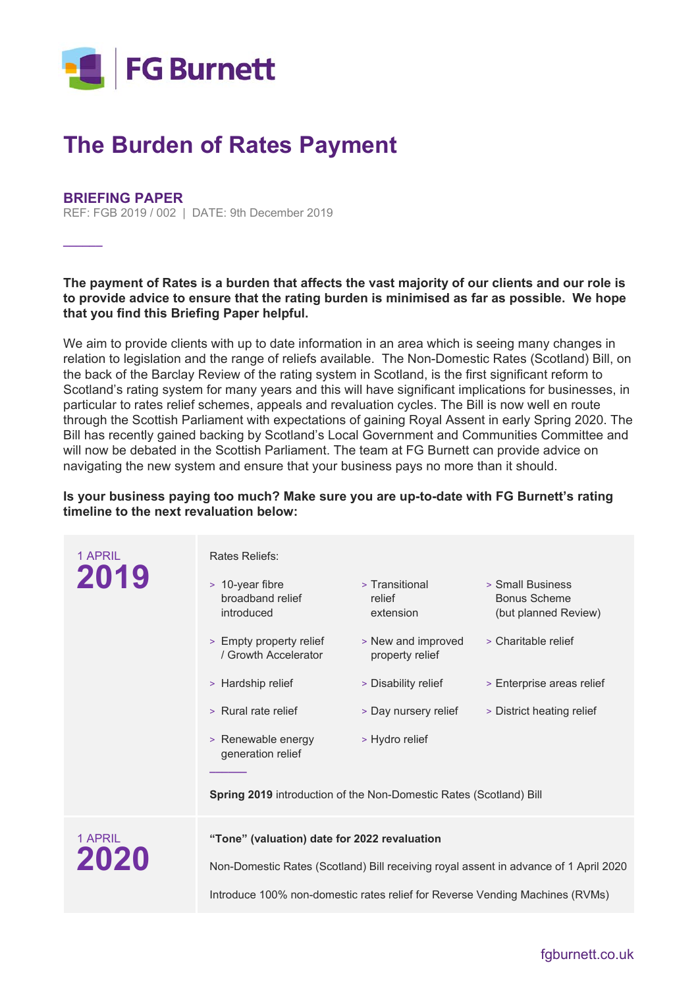

## **The Burden of Rates Payment**

## **BRIEFING PAPER**

**\_\_\_\_\_\_**

REF: FGB 2019 / 002 | DATE: 9th December 2019

**The payment of Rates is a burden that affects the vast majority of our clients and our role is to provide advice to ensure that the rating burden is minimised as far as possible. We hope that you find this Briefing Paper helpful.** 

We aim to provide clients with up to date information in an area which is seeing many changes in relation to legislation and the range of reliefs available. The Non-Domestic Rates (Scotland) Bill, on the back of the Barclay Review of the rating system in Scotland, is the first significant reform to Scotland's rating system for many years and this will have significant implications for businesses, in particular to rates relief schemes, appeals and revaluation cycles. The Bill is now well en route through the Scottish Parliament with expectations of gaining Royal Assent in early Spring 2020. The Bill has recently gained backing by Scotland's Local Government and Communities Committee and will now be debated in the Scottish Parliament. The team at FG Burnett can provide advice on navigating the new system and ensure that your business pays no more than it should.

**Is your business paying too much? Make sure you are up-to-date with FG Burnett's rating timeline to the next revaluation below:** 

| 1 APRIL<br>2019 | Rates Reliefs:                                                                       |                                       |                                                                 |
|-----------------|--------------------------------------------------------------------------------------|---------------------------------------|-----------------------------------------------------------------|
|                 | > 10-year fibre<br>broadband relief<br>introduced                                    | > Transitional<br>relief<br>extension | > Small Business<br><b>Bonus Scheme</b><br>(but planned Review) |
|                 | > Empty property relief<br>/ Growth Accelerator                                      | > New and improved<br>property relief | > Charitable relief                                             |
|                 | > Hardship relief                                                                    | > Disability relief                   | > Enterprise areas relief                                       |
|                 | > Rural rate relief                                                                  | > Day nursery relief                  | > District heating relief                                       |
|                 | > Renewable energy<br>generation relief                                              | > Hydro relief                        |                                                                 |
|                 | Spring 2019 introduction of the Non-Domestic Rates (Scotland) Bill                   |                                       |                                                                 |
| 1 APRIL<br>2020 | "Tone" (valuation) date for 2022 revaluation                                         |                                       |                                                                 |
|                 | Non-Domestic Rates (Scotland) Bill receiving royal assent in advance of 1 April 2020 |                                       |                                                                 |
|                 | Introduce 100% non-domestic rates relief for Reverse Vending Machines (RVMs)         |                                       |                                                                 |

fgburnett.co.uk